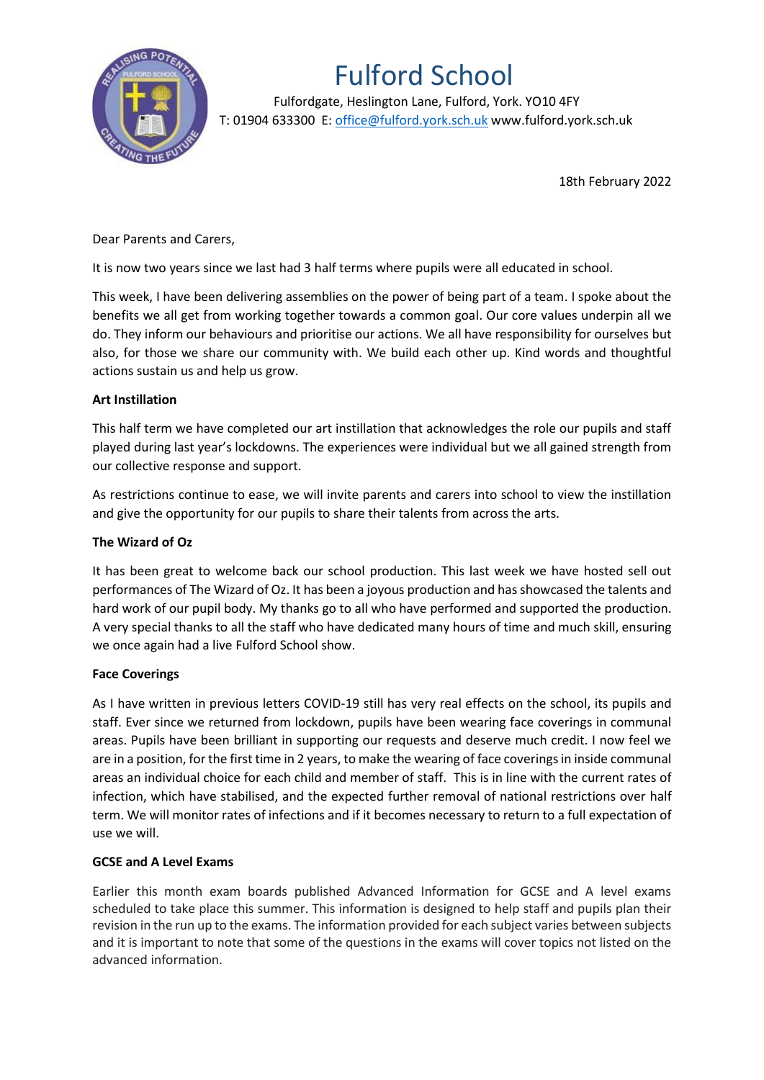

# Fulford School

 Fulfordgate, Heslington Lane, Fulford, York. YO10 4FY T: 01904 633300 E: office@fulford.york.sch.uk www.fulford.york.sch.uk

18th February 2022

Dear Parents and Carers,

It is now two years since we last had 3 half terms where pupils were all educated in school.

This week, I have been delivering assemblies on the power of being part of a team. I spoke about the benefits we all get from working together towards a common goal. Our core values underpin all we do. They inform our behaviours and prioritise our actions. We all have responsibility for ourselves but also, for those we share our community with. We build each other up. Kind words and thoughtful actions sustain us and help us grow.

## **Art Instillation**

This half term we have completed our art instillation that acknowledges the role our pupils and staff played during last year's lockdowns. The experiences were individual but we all gained strength from our collective response and support.

As restrictions continue to ease, we will invite parents and carers into school to view the instillation and give the opportunity for our pupils to share their talents from across the arts.

### **The Wizard of Oz**

It has been great to welcome back our school production. This last week we have hosted sell out performances of The Wizard of Oz. It has been a joyous production and has showcased the talents and hard work of our pupil body. My thanks go to all who have performed and supported the production. A very special thanks to all the staff who have dedicated many hours of time and much skill, ensuring we once again had a live Fulford School show.

### **Face Coverings**

As I have written in previous letters COVID-19 still has very real effects on the school, its pupils and staff. Ever since we returned from lockdown, pupils have been wearing face coverings in communal areas. Pupils have been brilliant in supporting our requests and deserve much credit. I now feel we are in a position, for the first time in 2 years, to make the wearing of face coverings in inside communal areas an individual choice for each child and member of staff. This is in line with the current rates of infection, which have stabilised, and the expected further removal of national restrictions over half term. We will monitor rates of infections and if it becomes necessary to return to a full expectation of use we will.

### **GCSE and A Level Exams**

Earlier this month exam boards published Advanced Information for GCSE and A level exams scheduled to take place this summer. This information is designed to help staff and pupils plan their revision in the run up to the exams. The information provided for each subject varies between subjects and it is important to note that some of the questions in the exams will cover topics not listed on the advanced information.